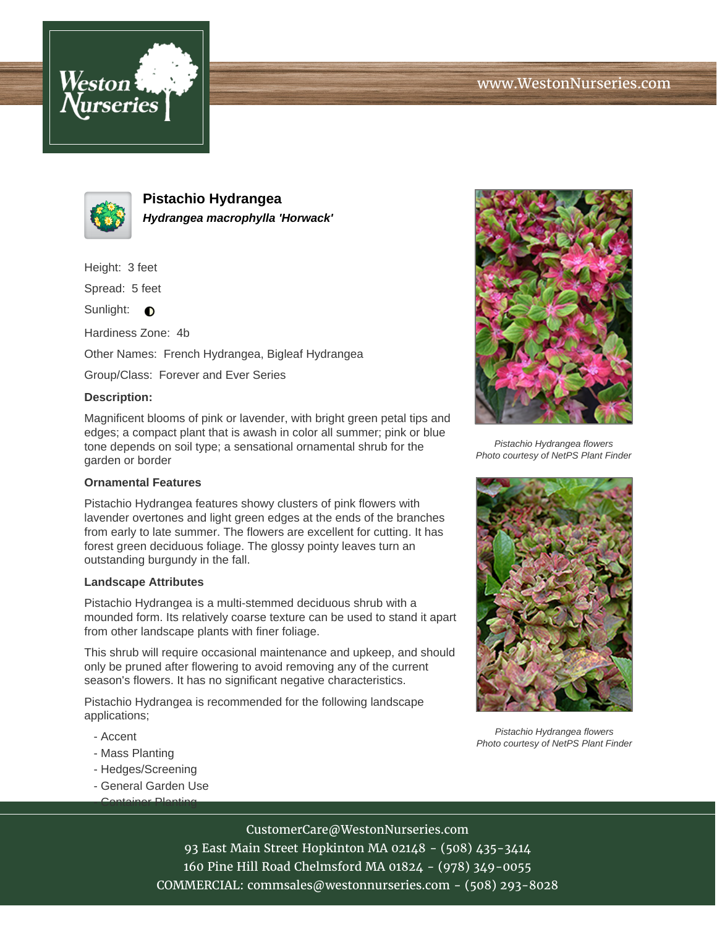



**Pistachio Hydrangea Hydrangea macrophylla 'Horwack'**

Height: 3 feet

Spread: 5 feet

Sunlight:  $\bigcirc$ 

Hardiness Zone: 4b

Other Names: French Hydrangea, Bigleaf Hydrangea

Group/Class: Forever and Ever Series

## **Description:**

Magnificent blooms of pink or lavender, with bright green petal tips and edges; a compact plant that is awash in color all summer; pink or blue tone depends on soil type; a sensational ornamental shrub for the garden or border

## **Ornamental Features**

Pistachio Hydrangea features showy clusters of pink flowers with lavender overtones and light green edges at the ends of the branches from early to late summer. The flowers are excellent for cutting. It has forest green deciduous foliage. The glossy pointy leaves turn an outstanding burgundy in the fall.

## **Landscape Attributes**

Pistachio Hydrangea is a multi-stemmed deciduous shrub with a mounded form. Its relatively coarse texture can be used to stand it apart from other landscape plants with finer foliage.

This shrub will require occasional maintenance and upkeep, and should only be pruned after flowering to avoid removing any of the current season's flowers. It has no significant negative characteristics.

Pistachio Hydrangea is recommended for the following landscape applications;

- Accent
- Mass Planting
- Hedges/Screening
- General Garden Use - Container Planting



Pistachio Hydrangea flowers Photo courtesy of NetPS Plant Finder



Pistachio Hydrangea flowers Photo courtesy of NetPS Plant Finder

CustomerCare@WestonNurseries.com

93 East Main Street Hopkinton MA 02148 - (508) 435-3414 160 Pine Hill Road Chelmsford MA 01824 - (978) 349-0055 COMMERCIAL: commsales@westonnurseries.com - (508) 293-8028